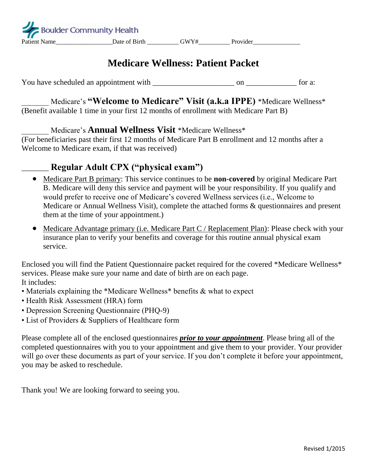# **Medicare Wellness: Patient Packet**

You have scheduled an appointment with  $\frac{1}{2}$  on  $\frac{1}{2}$  for a:

\_\_\_\_\_\_\_ Medicare's **"Welcome to Medicare" Visit (a.k.a IPPE)** \*Medicare Wellness\* (Benefit available 1 time in your first 12 months of enrollment with Medicare Part B)

\_\_\_\_\_\_\_ Medicare's **Annual Wellness Visit** \*Medicare Wellness\*

(For beneficiaries past their first 12 months of Medicare Part B enrollment and 12 months after a Welcome to Medicare exam, if that was received)

## \_\_\_\_\_\_\_ **Regular Adult CPX ("physical exam")**

- Medicare Part B primary: This service continues to be **non-covered** by original Medicare Part B. Medicare will deny this service and payment will be your responsibility. If you qualify and would prefer to receive one of Medicare's covered Wellness services (i.e., Welcome to Medicare or Annual Wellness Visit), complete the attached forms & questionnaires and present them at the time of your appointment.)
- Medicare Advantage primary (i.e. Medicare Part C / Replacement Plan): Please check with your insurance plan to verify your benefits and coverage for this routine annual physical exam service.

Enclosed you will find the Patient Questionnaire packet required for the covered \*Medicare Wellness\* services. Please make sure your name and date of birth are on each page. It includes:

- Materials explaining the \*Medicare Wellness\* benefits & what to expect
- Health Risk Assessment (HRA) form
- Depression Screening Questionnaire (PHQ-9)
- List of Providers & Suppliers of Healthcare form

Please complete all of the enclosed questionnaires *prior to your appointment*. Please bring all of the completed questionnaires with you to your appointment and give them to your provider. Your provider will go over these documents as part of your service. If you don't complete it before your appointment, you may be asked to reschedule.

Thank you! We are looking forward to seeing you.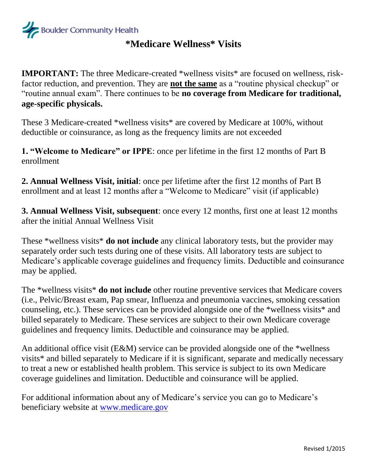

## **\*Medicare Wellness\* Visits**

**IMPORTANT:** The three Medicare-created \*wellness visits\* are focused on wellness, riskfactor reduction, and prevention. They are **not the same** as a "routine physical checkup" or "routine annual exam". There continues to be **no coverage from Medicare for traditional, age-specific physicals.** 

These 3 Medicare-created \*wellness visits\* are covered by Medicare at 100%, without deductible or coinsurance, as long as the frequency limits are not exceeded

**1. "Welcome to Medicare" or IPPE**: once per lifetime in the first 12 months of Part B enrollment

**2. Annual Wellness Visit, initial**: once per lifetime after the first 12 months of Part B enrollment and at least 12 months after a "Welcome to Medicare" visit (if applicable)

**3. Annual Wellness Visit, subsequent**: once every 12 months, first one at least 12 months after the initial Annual Wellness Visit

These \*wellness visits\* **do not include** any clinical laboratory tests, but the provider may separately order such tests during one of these visits. All laboratory tests are subject to Medicare's applicable coverage guidelines and frequency limits. Deductible and coinsurance may be applied.

The \*wellness visits\* **do not include** other routine preventive services that Medicare covers (i.e., Pelvic/Breast exam, Pap smear, Influenza and pneumonia vaccines, smoking cessation counseling, etc.). These services can be provided alongside one of the \*wellness visits\* and billed separately to Medicare. These services are subject to their own Medicare coverage guidelines and frequency limits. Deductible and coinsurance may be applied.

An additional office visit (E&M) service can be provided alongside one of the \*wellness visits\* and billed separately to Medicare if it is significant, separate and medically necessary to treat a new or established health problem. This service is subject to its own Medicare coverage guidelines and limitation. Deductible and coinsurance will be applied.

For additional information about any of Medicare's service you can go to Medicare's beneficiary website at [www.medicare.gov](http://www.medicare.gov/)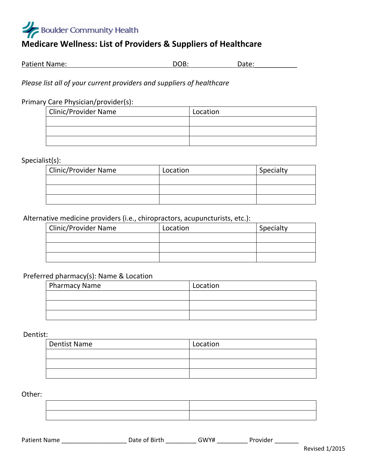# **Boulder Community Health**

### **Medicare Wellness: List of Providers & Suppliers of Healthcare**

| <b>Patient Name:</b> | DOB: | Date: |
|----------------------|------|-------|
|                      |      |       |

#### *Please list all of your current providers and suppliers of healthcare*

#### Primary Care Physician/provider(s):

| Clinic/Provider Name | Location |
|----------------------|----------|
|                      |          |
|                      |          |
|                      |          |

#### Specialist(s):

| Clinic/Provider Name | Location | Specialty |
|----------------------|----------|-----------|
|                      |          |           |
|                      |          |           |
|                      |          |           |

#### Alternative medicine providers (i.e., chiropractors, acupuncturists, etc.):

| <b>Clinic/Provider Name</b> | Location | Specialty |
|-----------------------------|----------|-----------|
|                             |          |           |
|                             |          |           |
|                             |          |           |

#### Preferred pharmacy(s): Name & Location

| Pharmacy Name | Location |
|---------------|----------|
|               |          |
|               |          |
|               |          |

Dentist:

| <b>Dentist Name</b> | Location |
|---------------------|----------|
|                     |          |
|                     |          |
|                     |          |

Other:

| ,一个人的人都是一个人的人,我们也不会不会不会。""我们的人,我们也不会不会不会不会不会不会不会。""我们的人,我们也不会不会不会不会不会不会不会。""我们的人 |  |
|----------------------------------------------------------------------------------|--|
|                                                                                  |  |
|                                                                                  |  |
|                                                                                  |  |
|                                                                                  |  |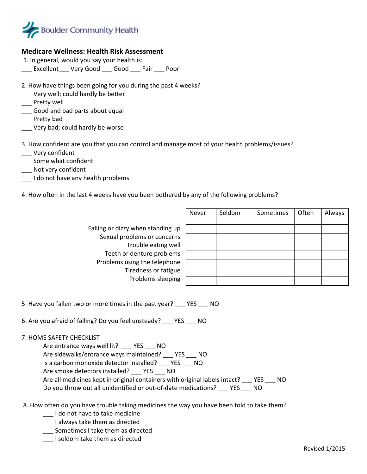

#### **Medicare Wellness: Health Risk Assessment**

- 1. In general, would you say your health is:
- Excellent Very Good Good Fair Poor
- 2. How have things been going for you during the past 4 weeks?
- \_\_\_ Very well; could hardly be better
- \_\_\_ Pretty well
- \_\_\_ Good and bad parts about equal
- \_\_\_ Pretty bad
- \_\_\_ Very bad; could hardly be worse

3. How confident are you that you can control and manage most of your health problems/issues?

- \_\_\_ Very confident
- \_\_\_ Some what confident
- \_\_\_ Not very confident
- I do not have any health problems
- 4. How often in the last 4 weeks have you been bothered by any of the following problems?

Falling or dizzy when standing up Sexual problems or concerns Trouble eating well Teeth or denture problems Problems using the telephone Tiredness or fatigue Problems sleeping

| Never | Seldom | Sometimes | Often | Always |
|-------|--------|-----------|-------|--------|
|       |        |           |       |        |
|       |        |           |       |        |
|       |        |           |       |        |
|       |        |           |       |        |
|       |        |           |       |        |
|       |        |           |       |        |
|       |        |           |       |        |

5. Have you fallen two or more times in the past year? YES NO

6. Are you afraid of falling? Do you feel unsteady? \_\_\_ YES \_\_\_ NO

7. HOME SAFETY CHECKLIST

Are entrance ways well lit? YES NO Are sidewalks/entrance ways maintained? \_\_\_ YES \_\_\_ NO Is a carbon monoxide detector installed? \_\_\_ YES \_\_\_ NO Are smoke detectors installed? \_\_\_ YES \_\_\_ NO Are all medicines kept in original containers with original labels intact? YES NO Do you throw out all unidentified or out-of-date medications? YES NO

- 8. How often do you have trouble taking medicines the way you have been told to take them?
	- \_\_\_ I do not have to take medicine
	- \_\_\_ I always take them as directed
	- \_\_\_ Sometimes I take them as directed
	- \_\_\_ I seldom take them as directed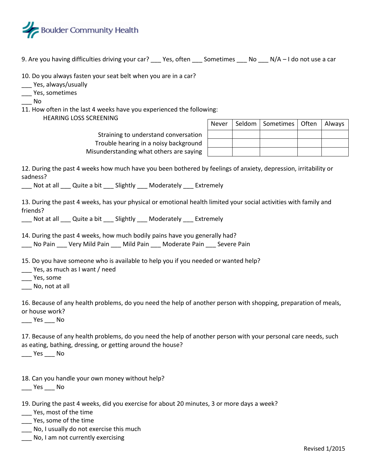

- 9. Are you having difficulties driving your car? Pes, often Sometimes No N/A I do not use a car
- 10. Do you always fasten your seat belt when you are in a car?
- \_\_\_ Yes, always/usually
- \_\_\_ Yes, sometimes
- \_\_\_ No
- 11. How often in the last 4 weeks have you experienced the following:
	- HEARING LOSS SCREENING

Straining to understand conversation Trouble hearing in a noisy background Misunderstanding what others are saying

|  | Never   Seldom   Sometimes   Often   Always |  |
|--|---------------------------------------------|--|
|  |                                             |  |
|  |                                             |  |
|  |                                             |  |

12. During the past 4 weeks how much have you been bothered by feelings of anxiety, depression, irritability or sadness?

\_\_\_ Not at all \_\_\_ Quite a bit \_\_\_ Slightly \_\_\_ Moderately \_\_\_ Extremely

13. During the past 4 weeks, has your physical or emotional health limited your social activities with family and friends?

\_\_\_ Not at all \_\_\_ Quite a bit \_\_\_ Slightly \_\_\_ Moderately \_\_\_ Extremely

- 14. During the past 4 weeks, how much bodily pains have you generally had? No Pain Lery Mild Pain Lold Pain Moderate Pain Levere Pain
- 15. Do you have someone who is available to help you if you needed or wanted help?
- \_\_\_ Yes, as much as I want / need
- \_\_\_ Yes, some
- No, not at all

16. Because of any health problems, do you need the help of another person with shopping, preparation of meals, or house work?

\_\_\_ Yes \_\_\_ No

17. Because of any health problems, do you need the help of another person with your personal care needs, such as eating, bathing, dressing, or getting around the house?

\_\_\_ Yes \_\_\_ No

18. Can you handle your own money without help?

 $\rule{1em}{0.15mm}$  Yes  $\rule{1em}{0.15mm}$  No

- 19. During the past 4 weeks, did you exercise for about 20 minutes, 3 or more days a week? \_\_\_ Yes, most of the time
- \_\_\_ Yes, some of the time
- \_\_\_ No, I usually do not exercise this much
- \_\_\_ No, I am not currently exercising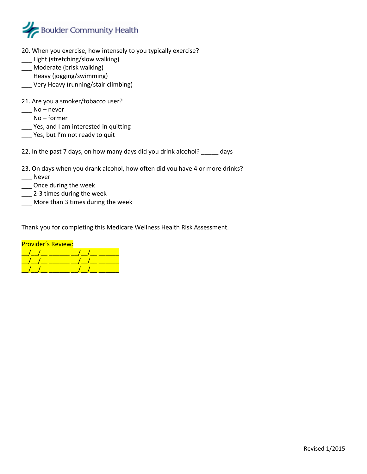

- 20. When you exercise, how intensely to you typically exercise?
- \_\_\_ Light (stretching/slow walking)
- \_\_\_ Moderate (brisk walking)
- \_\_\_ Heavy (jogging/swimming)
- \_\_\_ Very Heavy (running/stair climbing)
- 21. Are you a smoker/tobacco user?
- $\frac{1}{2}$  No never
- $\frac{1}{2}$  No former
- \_\_\_ Yes, and I am interested in quitting
- \_\_\_ Yes, but I'm not ready to quit

22. In the past 7 days, on how many days did you drink alcohol? \_\_\_\_\_ days

- 23. On days when you drank alcohol, how often did you have 4 or more drinks? \_\_\_ Never
- \_\_\_ Once during the week
- \_\_\_ 2-3 times during the week
- \_\_\_ More than 3 times during the week

Thank you for completing this Medicare Wellness Health Risk Assessment.

| <b>Provider's Review:</b> |  |
|---------------------------|--|
|                           |  |
|                           |  |
|                           |  |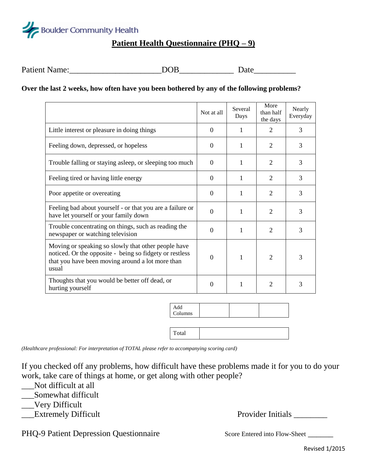

# **Patient Health Questionnaire (PHQ – 9)**

| Patient N<br>Name: | -16 | 'ate |
|--------------------|-----|------|
|                    |     |      |

#### **Over the last 2 weeks, how often have you been bothered by any of the following problems?**

|                                                                                                                                                                             | Not at all | Several<br>Days | More<br>than half<br>the days | Nearly<br>Everyday |
|-----------------------------------------------------------------------------------------------------------------------------------------------------------------------------|------------|-----------------|-------------------------------|--------------------|
| Little interest or pleasure in doing things                                                                                                                                 | $\Omega$   | 1               | $\overline{2}$                | 3                  |
| Feeling down, depressed, or hopeless                                                                                                                                        | $\Omega$   | 1               | 2                             | 3                  |
| Trouble falling or staying asleep, or sleeping too much                                                                                                                     | $\Omega$   | 1               | 2                             | 3                  |
| Feeling tired or having little energy                                                                                                                                       | $\Omega$   | 1               | $\overline{2}$                | 3                  |
| Poor appetite or overeating                                                                                                                                                 | $\Omega$   | 1               | $\overline{2}$                | 3                  |
| Feeling bad about yourself - or that you are a failure or<br>have let yourself or your family down                                                                          | $\Omega$   | 1               | $\overline{2}$                | 3                  |
| Trouble concentrating on things, such as reading the<br>newspaper or watching television                                                                                    | $\Omega$   | 1               | $\overline{2}$                | 3                  |
| Moving or speaking so slowly that other people have<br>noticed. Or the opposite - being so fidgety or restless<br>that you have been moving around a lot more than<br>usual | $\Omega$   | 1               | $\overline{2}$                | 3                  |
| Thoughts that you would be better off dead, or<br>hurting yourself                                                                                                          | $\Omega$   | 1               | $\overline{2}$                | 3                  |

| Add<br>Columns |  |  |
|----------------|--|--|
|                |  |  |
| Total          |  |  |

*(Healthcare professional: For interpretation of TOTAL please refer to accompanying scoring card)*

If you checked off any problems, how difficult have these problems made it for you to do your work, take care of things at home, or get along with other people?

- Not difficult at all
- \_\_\_Somewhat difficult
- \_\_\_Very Difficult
- 

Extremely Difficult **Provider Initials** 

PHQ-9 Patient Depression Questionnaire Score Entered into Flow-Sheet \_\_\_\_\_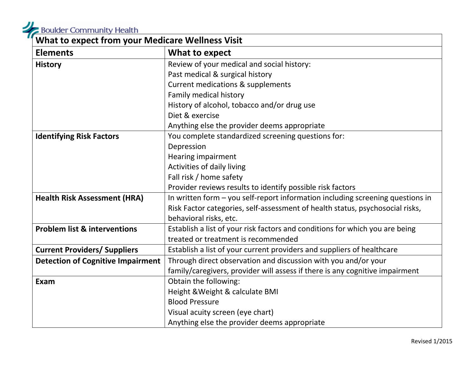**What is a Boulder Community Health** 

| <b>What to expect from your Medicare Wellness Visit</b> |                                                                                |  |
|---------------------------------------------------------|--------------------------------------------------------------------------------|--|
| <b>Elements</b>                                         | What to expect                                                                 |  |
| <b>History</b>                                          | Review of your medical and social history:                                     |  |
|                                                         | Past medical & surgical history                                                |  |
|                                                         | <b>Current medications &amp; supplements</b>                                   |  |
|                                                         | Family medical history                                                         |  |
|                                                         | History of alcohol, tobacco and/or drug use                                    |  |
|                                                         | Diet & exercise                                                                |  |
|                                                         | Anything else the provider deems appropriate                                   |  |
| <b>Identifying Risk Factors</b>                         | You complete standardized screening questions for:                             |  |
|                                                         | Depression                                                                     |  |
|                                                         | <b>Hearing impairment</b>                                                      |  |
|                                                         | Activities of daily living                                                     |  |
|                                                         | Fall risk / home safety                                                        |  |
|                                                         | Provider reviews results to identify possible risk factors                     |  |
| <b>Health Risk Assessment (HRA)</b>                     | In written form - you self-report information including screening questions in |  |
|                                                         | Risk Factor categories, self-assessment of health status, psychosocial risks,  |  |
|                                                         | behavioral risks, etc.                                                         |  |
| <b>Problem list &amp; interventions</b>                 | Establish a list of your risk factors and conditions for which you are being   |  |
|                                                         | treated or treatment is recommended                                            |  |
| <b>Current Providers/ Suppliers</b>                     | Establish a list of your current providers and suppliers of healthcare         |  |
| <b>Detection of Cognitive Impairment</b>                | Through direct observation and discussion with you and/or your                 |  |
|                                                         | family/caregivers, provider will assess if there is any cognitive impairment   |  |
| Exam                                                    | Obtain the following:                                                          |  |
|                                                         | Height & Weight & calculate BMI                                                |  |
|                                                         | <b>Blood Pressure</b>                                                          |  |
|                                                         | Visual acuity screen (eye chart)                                               |  |
|                                                         | Anything else the provider deems appropriate                                   |  |